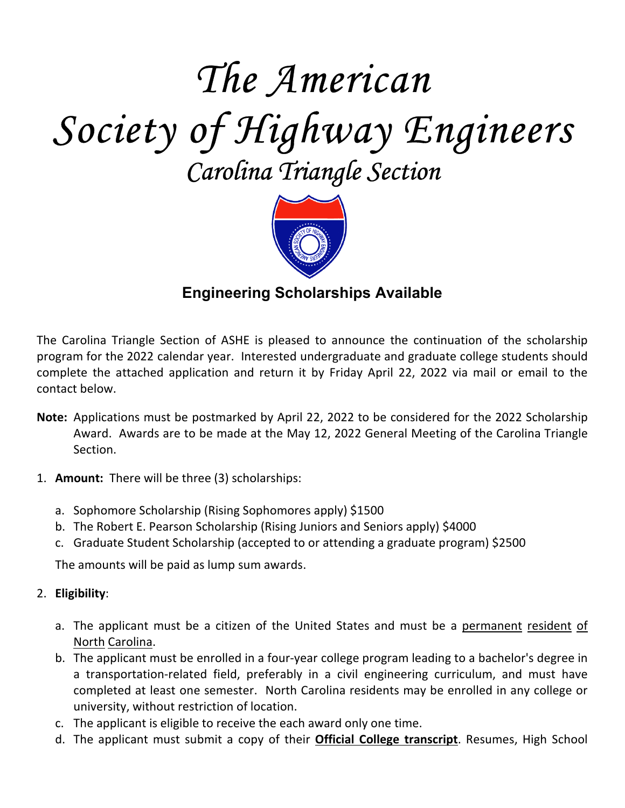# *The American Society of Highway Engineers Carolina Triangle Section*



# **Engineering Scholarships Available**

The Carolina Triangle Section of ASHE is pleased to announce the continuation of the scholarship program for the 2022 calendar year. Interested undergraduate and graduate college students should complete the attached application and return it by Friday April 22, 2022 via mail or email to the contact below.

- **Note:** Applications must be postmarked by April 22, 2022 to be considered for the 2022 Scholarship Award. Awards are to be made at the May 12, 2022 General Meeting of the Carolina Triangle Section.
- 1. **Amount:** There will be three (3) scholarships:
	- a. Sophomore Scholarship (Rising Sophomores apply) \$1500
	- b. The Robert E. Pearson Scholarship (Rising Juniors and Seniors apply) \$4000
	- c. Graduate Student Scholarship (accepted to or attending a graduate program) \$2500

The amounts will be paid as lump sum awards.

#### 2. **Eligibility**:

- a. The applicant must be a citizen of the United States and must be a permanent resident of North Carolina.
- b. The applicant must be enrolled in a four-year college program leading to a bachelor's degree in a transportation-related field, preferably in a civil engineering curriculum, and must have completed at least one semester. North Carolina residents may be enrolled in any college or university, without restriction of location.
- c. The applicant is eligible to receive the each award only one time.
- d. The applicant must submit a copy of their **Official College transcript**. Resumes, High School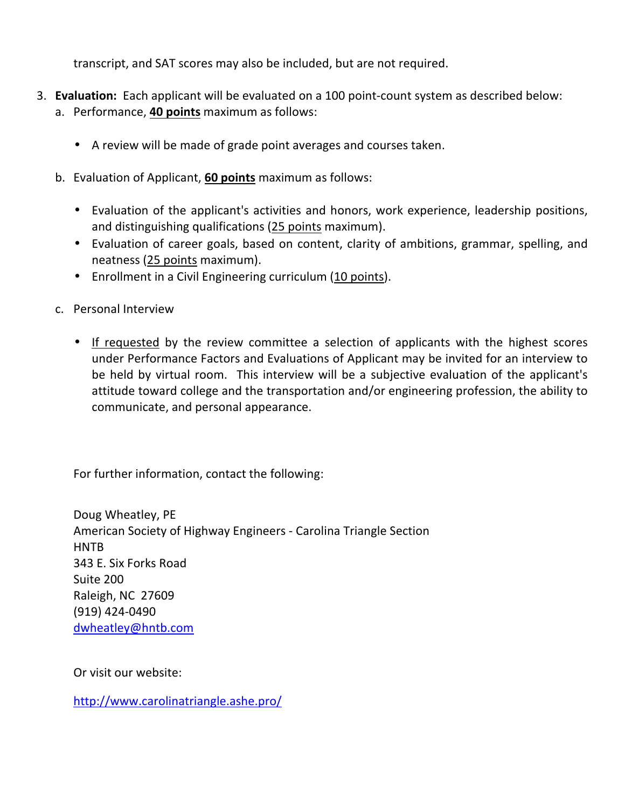transcript, and SAT scores may also be included, but are not required.

- 3. **Evaluation:** Each applicant will be evaluated on a 100 point-count system as described below:
	- a. Performance, **40 points** maximum as follows:
		- A review will be made of grade point averages and courses taken.
	- b. Evaluation of Applicant, **60 points** maximum as follows:
		- Evaluation of the applicant's activities and honors, work experience, leadership positions, and distinguishing qualifications (25 points maximum).
		- Evaluation of career goals, based on content, clarity of ambitions, grammar, spelling, and neatness (25 points maximum).
		- Enrollment in a Civil Engineering curriculum (10 points).
	- c. Personal Interview
		- If requested by the review committee a selection of applicants with the highest scores under Performance Factors and Evaluations of Applicant may be invited for an interview to be held by virtual room. This interview will be a subjective evaluation of the applicant's attitude toward college and the transportation and/or engineering profession, the ability to communicate, and personal appearance.

For further information, contact the following:

Doug Wheatley, PE American Society of Highway Engineers - Carolina Triangle Section **HNTB** 343 E. Six Forks Road Suite 200 Raleigh, NC 27609 (919) 424-0490 dwheatley@hntb.com

Or visit our website:

http://www.carolinatriangle.ashe.pro/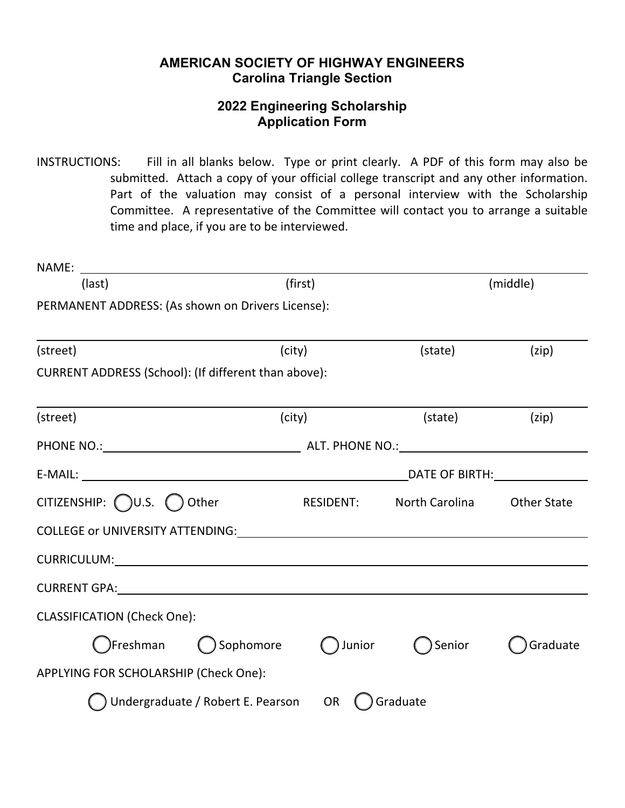## **AMERICAN SOCIETY OF HIGHWAY ENGINEERS Carolina Triangle Section**

## **2022 Engineering Scholarship Application Form**

INSTRUCTIONS: Fill in all blanks below. Type or print clearly. A PDF of this form may also be submitted. Attach a copy of your official college transcript and any other information. Part of the valuation may consist of a personal interview with the Scholarship Committee. A representative of the Committee will contact you to arrange a suitable time and place, if you are to be interviewed.

| (last)                                                            | (first)   |                                                                                                                | (middle)                 |                    |
|-------------------------------------------------------------------|-----------|----------------------------------------------------------------------------------------------------------------|--------------------------|--------------------|
| PERMANENT ADDRESS: (As shown on Drivers License):                 |           |                                                                                                                |                          |                    |
|                                                                   |           |                                                                                                                |                          |                    |
| (street)                                                          |           | (city)                                                                                                         | (state)                  | (zip)              |
| CURRENT ADDRESS (School): (If different than above):              |           |                                                                                                                |                          |                    |
| (street)                                                          |           | (city)                                                                                                         | (state)                  | (zip)              |
|                                                                   |           |                                                                                                                |                          |                    |
|                                                                   |           | DATE OF BIRTH: National Market Services of the Services of the Services of the Services of the Services of the |                          |                    |
| CITIZENSHIP: $\bigcirc$ U.S. $\bigcirc$ Other                     |           |                                                                                                                | RESIDENT: North Carolina | <b>Other State</b> |
| COLLEGE or UNIVERSITY ATTENDING: COLLEGE OF UNIVERSITY ATTENDING: |           |                                                                                                                |                          |                    |
|                                                                   |           |                                                                                                                |                          |                    |
| CURRENT GPA: New York CURRENT GPA:                                |           |                                                                                                                |                          |                    |
| <b>CLASSIFICATION (Check One):</b>                                |           |                                                                                                                |                          |                    |
| )Freshman                                                         | Sophomore | ) Junior                                                                                                       | Senior                   | Graduate           |
| APPLYING FOR SCHOLARSHIP (Check One):                             |           |                                                                                                                |                          |                    |
| Undergraduate / Robert E. Pearson OR                              |           |                                                                                                                | () Graduate              |                    |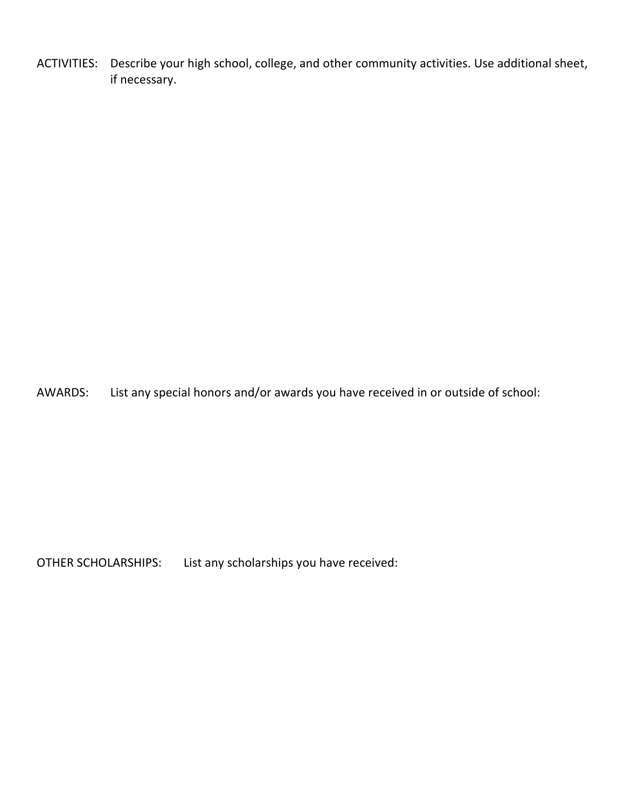ACTIVITIES: Describe your high school, college, and other community activities. Use additional sheet, if necessary.

AWARDS: List any special honors and/or awards you have received in or outside of school:

OTHER SCHOLARSHIPS: List any scholarships you have received: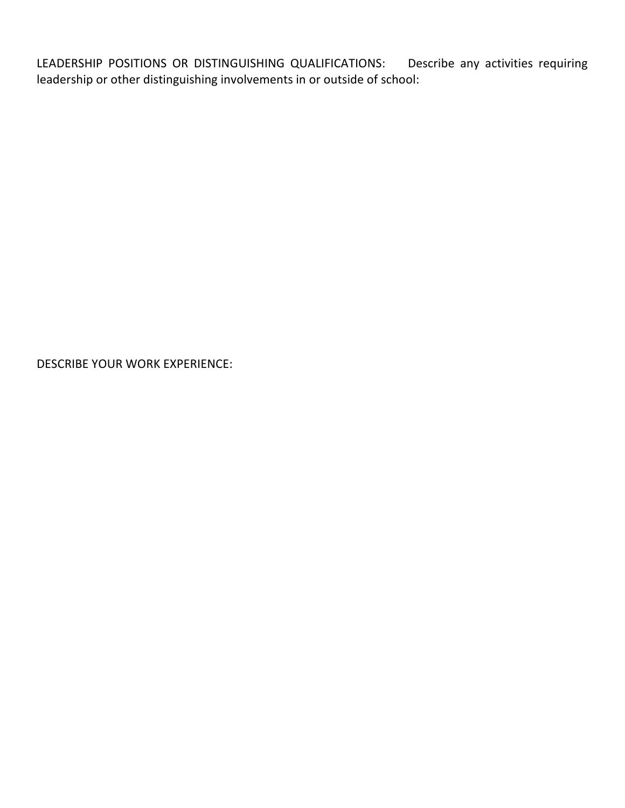LEADERSHIP POSITIONS OR DISTINGUISHING QUALIFICATIONS: Describe any activities requiring leadership or other distinguishing involvements in or outside of school:

DESCRIBE YOUR WORK EXPERIENCE: